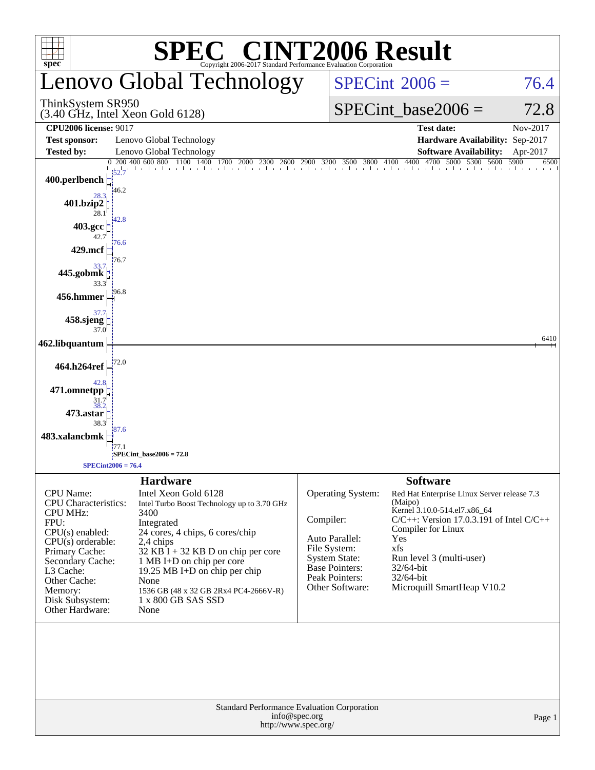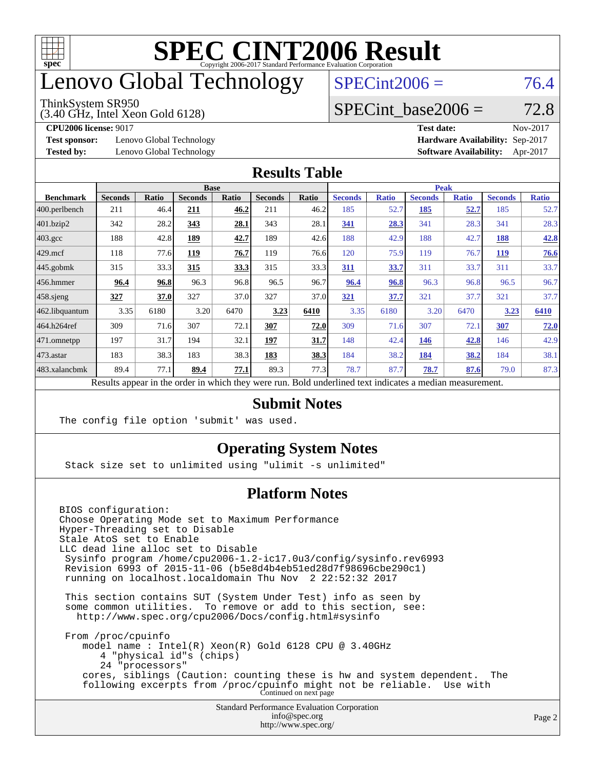

## enovo Global Technology

#### ThinkSystem SR950

(3.40 GHz, Intel Xeon Gold 6128)

 $SPECint2006 = 76.4$  $SPECint2006 = 76.4$ 

### SPECint base2006 =  $72.8$

**[Test sponsor:](http://www.spec.org/auto/cpu2006/Docs/result-fields.html#Testsponsor)** Lenovo Global Technology **[Hardware Availability:](http://www.spec.org/auto/cpu2006/Docs/result-fields.html#HardwareAvailability)** Sep-2017

**[CPU2006 license:](http://www.spec.org/auto/cpu2006/Docs/result-fields.html#CPU2006license)** 9017 **[Test date:](http://www.spec.org/auto/cpu2006/Docs/result-fields.html#Testdate)** Nov-2017 **[Tested by:](http://www.spec.org/auto/cpu2006/Docs/result-fields.html#Testedby)** Lenovo Global Technology **[Software Availability:](http://www.spec.org/auto/cpu2006/Docs/result-fields.html#SoftwareAvailability)** Apr-2017

#### **[Results Table](http://www.spec.org/auto/cpu2006/Docs/result-fields.html#ResultsTable)**

|                                                                                                          | <b>Base</b>    |              |                |              | <b>Peak</b>    |       |                |              |                |              |                |              |
|----------------------------------------------------------------------------------------------------------|----------------|--------------|----------------|--------------|----------------|-------|----------------|--------------|----------------|--------------|----------------|--------------|
| <b>Benchmark</b>                                                                                         | <b>Seconds</b> | <b>Ratio</b> | <b>Seconds</b> | <b>Ratio</b> | <b>Seconds</b> | Ratio | <b>Seconds</b> | <b>Ratio</b> | <b>Seconds</b> | <b>Ratio</b> | <b>Seconds</b> | <b>Ratio</b> |
| 400.perlbench                                                                                            | 211            | 46.4         | 211            | 46.2         | 211            | 46.2  | 185            | 52.7         | 185            | <u>52.7</u>  | 185            | 52.7         |
| 401.bzip2                                                                                                | 342            | 28.2         | 343            | 28.1         | 343            | 28.1  | 341            | 28.3         | 341            | 28.3         | 341            | 28.3         |
| $403.\mathrm{gcc}$                                                                                       | 188            | 42.8         | 189            | 42.7         | 189            | 42.6  | 188            | 42.9         | 188            | 42.7         | 188            | 42.8         |
| $429$ .mcf                                                                                               | 118            | 77.6         | 119            | 76.7         | 119            | 76.6  | 120            | 75.9         | 119            | 76.7         | <b>119</b>     | 76.6         |
| $445$ .gobmk                                                                                             | 315            | 33.3         | 315            | 33.3         | 315            | 33.3  | 311            | 33.7         | 311            | 33.7         | 311            | 33.7         |
| $456.$ hmmer                                                                                             | 96.4           | 96.8         | 96.3           | 96.8         | 96.5           | 96.7  | 96.4           | 96.8         | 96.3           | 96.8         | 96.5           | 96.7         |
| $458$ .sjeng                                                                                             | 327            | 37.0         | 327            | 37.0         | 327            | 37.0  | 321            | 37.7         | 321            | 37.7         | 321            | 37.7         |
| 462.libquantum                                                                                           | 3.35           | 6180         | 3.20           | 6470         | 3.23           | 6410  | 3.35           | 6180         | 3.20           | 6470         | 3.23           | 6410         |
| 464.h264ref                                                                                              | 309            | 71.6         | 307            | 72.1         | 307            | 72.0  | 309            | 71.6         | 307            | 72.1         | 307            | 72.0         |
| $ 471$ .omnetpp                                                                                          | 197            | 31.7         | 194            | 32.1         | 197            | 31.7  | 148            | 42.4         | 146            | 42.8         | 146            | 42.9         |
| $473$ . astar                                                                                            | 183            | 38.3         | 183            | 38.3         | 183            | 38.3  | 184            | 38.2         | 184            | 38.2         | 184            | 38.1         |
| 483.xalancbmk                                                                                            | 89.4           | 77.1         | 89.4           | 77.1         | 89.3           | 77.3  | 78.7           | 87.7         | 78.7           | 87.6         | 79.0           | 87.3         |
| Results appear in the order in which they were run. Bold underlined text indicates a median measurement. |                |              |                |              |                |       |                |              |                |              |                |              |

#### **[Submit Notes](http://www.spec.org/auto/cpu2006/Docs/result-fields.html#SubmitNotes)**

The config file option 'submit' was used.

### **[Operating System Notes](http://www.spec.org/auto/cpu2006/Docs/result-fields.html#OperatingSystemNotes)**

Stack size set to unlimited using "ulimit -s unlimited"

### **[Platform Notes](http://www.spec.org/auto/cpu2006/Docs/result-fields.html#PlatformNotes)**

Standard Performance Evaluation Corporation [info@spec.org](mailto:info@spec.org) BIOS configuration: Choose Operating Mode set to Maximum Performance Hyper-Threading set to Disable Stale AtoS set to Enable LLC dead line alloc set to Disable Sysinfo program /home/cpu2006-1.2-ic17.0u3/config/sysinfo.rev6993 Revision 6993 of 2015-11-06 (b5e8d4b4eb51ed28d7f98696cbe290c1) running on localhost.localdomain Thu Nov 2 22:52:32 2017 This section contains SUT (System Under Test) info as seen by some common utilities. To remove or add to this section, see: <http://www.spec.org/cpu2006/Docs/config.html#sysinfo> From /proc/cpuinfo model name : Intel(R) Xeon(R) Gold 6128 CPU @ 3.40GHz 4 "physical id"s (chips) 24 "processors" cores, siblings (Caution: counting these is hw and system dependent. The following excerpts from /proc/cpuinfo might not be reliable. Use with Continued on next page

<http://www.spec.org/>

Page 2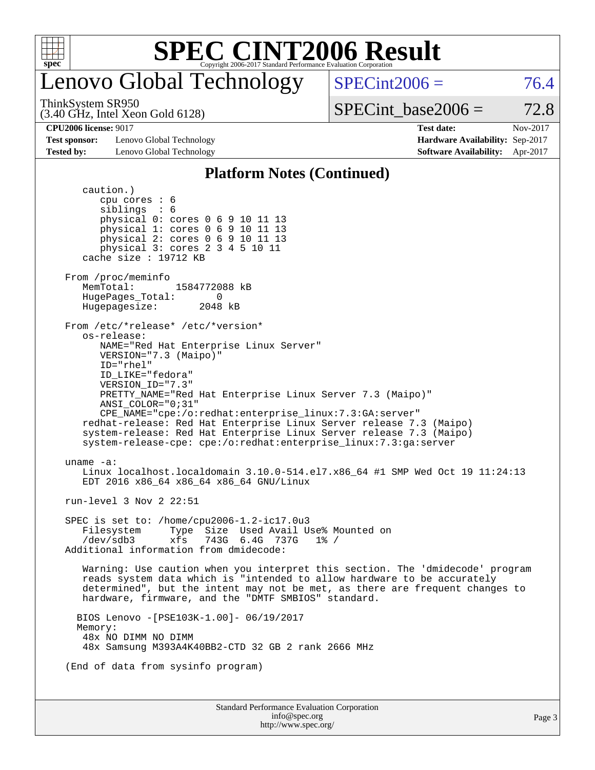

## enovo Global Technology

 $SPECint2006 = 76.4$  $SPECint2006 = 76.4$ 

ThinkSystem SR950

(3.40 GHz, Intel Xeon Gold 6128)

**[Test sponsor:](http://www.spec.org/auto/cpu2006/Docs/result-fields.html#Testsponsor)** Lenovo Global Technology **[Hardware Availability:](http://www.spec.org/auto/cpu2006/Docs/result-fields.html#HardwareAvailability)** Sep-2017

SPECint base2006 =  $72.8$ **[CPU2006 license:](http://www.spec.org/auto/cpu2006/Docs/result-fields.html#CPU2006license)** 9017 **[Test date:](http://www.spec.org/auto/cpu2006/Docs/result-fields.html#Testdate)** Nov-2017

**[Tested by:](http://www.spec.org/auto/cpu2006/Docs/result-fields.html#Testedby)** Lenovo Global Technology **[Software Availability:](http://www.spec.org/auto/cpu2006/Docs/result-fields.html#SoftwareAvailability)** Apr-2017

#### **[Platform Notes \(Continued\)](http://www.spec.org/auto/cpu2006/Docs/result-fields.html#PlatformNotes)**

Standard Performance Evaluation Corporation [info@spec.org](mailto:info@spec.org) <http://www.spec.org/> Page 3 caution.) cpu cores : 6 siblings : 6 physical 0: cores 0 6 9 10 11 13 physical 1: cores 0 6 9 10 11 13 physical 2: cores 0 6 9 10 11 13 physical 3: cores 2 3 4 5 10 11 cache size : 19712 KB From /proc/meminfo<br>MemTotal: 1584772088 kB HugePages\_Total: 0 Hugepagesize: 2048 kB From /etc/\*release\* /etc/\*version\* os-release: NAME="Red Hat Enterprise Linux Server" VERSION="7.3 (Maipo)" ID="rhel" ID\_LIKE="fedora" VERSION\_ID="7.3" PRETTY\_NAME="Red Hat Enterprise Linux Server 7.3 (Maipo)" ANSI\_COLOR="0;31" CPE\_NAME="cpe:/o:redhat:enterprise\_linux:7.3:GA:server" redhat-release: Red Hat Enterprise Linux Server release 7.3 (Maipo) system-release: Red Hat Enterprise Linux Server release 7.3 (Maipo) system-release-cpe: cpe:/o:redhat:enterprise\_linux:7.3:ga:server uname -a: Linux localhost.localdomain 3.10.0-514.el7.x86\_64 #1 SMP Wed Oct 19 11:24:13 EDT 2016 x86\_64 x86\_64 x86\_64 GNU/Linux run-level 3 Nov 2 22:51 SPEC is set to: /home/cpu2006-1.2-ic17.0u3 Filesystem Type Size Used Avail Use% Mounted on /dev/sdb3 xfs 743G 6.4G 737G 1% / Additional information from dmidecode: Warning: Use caution when you interpret this section. The 'dmidecode' program reads system data which is "intended to allow hardware to be accurately determined", but the intent may not be met, as there are frequent changes to hardware, firmware, and the "DMTF SMBIOS" standard. BIOS Lenovo -[PSE103K-1.00]- 06/19/2017 Memory: 48x NO DIMM NO DIMM 48x Samsung M393A4K40BB2-CTD 32 GB 2 rank 2666 MHz (End of data from sysinfo program)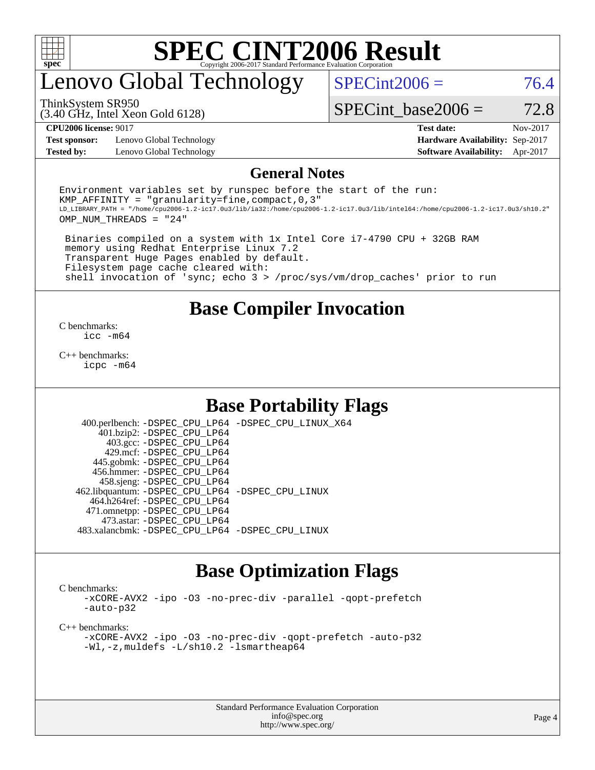

## enovo Global Technology

 $SPECint2006 = 76.4$  $SPECint2006 = 76.4$ 

(3.40 GHz, Intel Xeon Gold 6128) ThinkSystem SR950

SPECint base2006 =  $72.8$ 

**[Test sponsor:](http://www.spec.org/auto/cpu2006/Docs/result-fields.html#Testsponsor)** Lenovo Global Technology **[Hardware Availability:](http://www.spec.org/auto/cpu2006/Docs/result-fields.html#HardwareAvailability)** Sep-2017 **[Tested by:](http://www.spec.org/auto/cpu2006/Docs/result-fields.html#Testedby)** Lenovo Global Technology **[Software Availability:](http://www.spec.org/auto/cpu2006/Docs/result-fields.html#SoftwareAvailability)** Apr-2017

**[CPU2006 license:](http://www.spec.org/auto/cpu2006/Docs/result-fields.html#CPU2006license)** 9017 **[Test date:](http://www.spec.org/auto/cpu2006/Docs/result-fields.html#Testdate)** Nov-2017

#### **[General Notes](http://www.spec.org/auto/cpu2006/Docs/result-fields.html#GeneralNotes)**

Environment variables set by runspec before the start of the run: KMP AFFINITY = "granularity=fine, compact,  $0,3$ " LD\_LIBRARY\_PATH = "/home/cpu2006-1.2-ic17.0u3/lib/ia32:/home/cpu2006-1.2-ic17.0u3/lib/intel64:/home/cpu2006-1.2-ic17.0u3/sh10.2" OMP\_NUM\_THREADS = "24"

 Binaries compiled on a system with 1x Intel Core i7-4790 CPU + 32GB RAM memory using Redhat Enterprise Linux 7.2 Transparent Huge Pages enabled by default. Filesystem page cache cleared with: shell invocation of 'sync; echo 3 > /proc/sys/vm/drop\_caches' prior to run

### **[Base Compiler Invocation](http://www.spec.org/auto/cpu2006/Docs/result-fields.html#BaseCompilerInvocation)**

[C benchmarks](http://www.spec.org/auto/cpu2006/Docs/result-fields.html#Cbenchmarks): [icc -m64](http://www.spec.org/cpu2006/results/res2017q4/cpu2006-20171211-51036.flags.html#user_CCbase_intel_icc_64bit_bda6cc9af1fdbb0edc3795bac97ada53)

[C++ benchmarks:](http://www.spec.org/auto/cpu2006/Docs/result-fields.html#CXXbenchmarks) [icpc -m64](http://www.spec.org/cpu2006/results/res2017q4/cpu2006-20171211-51036.flags.html#user_CXXbase_intel_icpc_64bit_fc66a5337ce925472a5c54ad6a0de310)

### **[Base Portability Flags](http://www.spec.org/auto/cpu2006/Docs/result-fields.html#BasePortabilityFlags)**

 400.perlbench: [-DSPEC\\_CPU\\_LP64](http://www.spec.org/cpu2006/results/res2017q4/cpu2006-20171211-51036.flags.html#b400.perlbench_basePORTABILITY_DSPEC_CPU_LP64) [-DSPEC\\_CPU\\_LINUX\\_X64](http://www.spec.org/cpu2006/results/res2017q4/cpu2006-20171211-51036.flags.html#b400.perlbench_baseCPORTABILITY_DSPEC_CPU_LINUX_X64) 401.bzip2: [-DSPEC\\_CPU\\_LP64](http://www.spec.org/cpu2006/results/res2017q4/cpu2006-20171211-51036.flags.html#suite_basePORTABILITY401_bzip2_DSPEC_CPU_LP64) 403.gcc: [-DSPEC\\_CPU\\_LP64](http://www.spec.org/cpu2006/results/res2017q4/cpu2006-20171211-51036.flags.html#suite_basePORTABILITY403_gcc_DSPEC_CPU_LP64) 429.mcf: [-DSPEC\\_CPU\\_LP64](http://www.spec.org/cpu2006/results/res2017q4/cpu2006-20171211-51036.flags.html#suite_basePORTABILITY429_mcf_DSPEC_CPU_LP64) 445.gobmk: [-DSPEC\\_CPU\\_LP64](http://www.spec.org/cpu2006/results/res2017q4/cpu2006-20171211-51036.flags.html#suite_basePORTABILITY445_gobmk_DSPEC_CPU_LP64) 456.hmmer: [-DSPEC\\_CPU\\_LP64](http://www.spec.org/cpu2006/results/res2017q4/cpu2006-20171211-51036.flags.html#suite_basePORTABILITY456_hmmer_DSPEC_CPU_LP64) 458.sjeng: [-DSPEC\\_CPU\\_LP64](http://www.spec.org/cpu2006/results/res2017q4/cpu2006-20171211-51036.flags.html#suite_basePORTABILITY458_sjeng_DSPEC_CPU_LP64) 462.libquantum: [-DSPEC\\_CPU\\_LP64](http://www.spec.org/cpu2006/results/res2017q4/cpu2006-20171211-51036.flags.html#suite_basePORTABILITY462_libquantum_DSPEC_CPU_LP64) [-DSPEC\\_CPU\\_LINUX](http://www.spec.org/cpu2006/results/res2017q4/cpu2006-20171211-51036.flags.html#b462.libquantum_baseCPORTABILITY_DSPEC_CPU_LINUX) 464.h264ref: [-DSPEC\\_CPU\\_LP64](http://www.spec.org/cpu2006/results/res2017q4/cpu2006-20171211-51036.flags.html#suite_basePORTABILITY464_h264ref_DSPEC_CPU_LP64) 471.omnetpp: [-DSPEC\\_CPU\\_LP64](http://www.spec.org/cpu2006/results/res2017q4/cpu2006-20171211-51036.flags.html#suite_basePORTABILITY471_omnetpp_DSPEC_CPU_LP64) 473.astar: [-DSPEC\\_CPU\\_LP64](http://www.spec.org/cpu2006/results/res2017q4/cpu2006-20171211-51036.flags.html#suite_basePORTABILITY473_astar_DSPEC_CPU_LP64) 483.xalancbmk: [-DSPEC\\_CPU\\_LP64](http://www.spec.org/cpu2006/results/res2017q4/cpu2006-20171211-51036.flags.html#suite_basePORTABILITY483_xalancbmk_DSPEC_CPU_LP64) [-DSPEC\\_CPU\\_LINUX](http://www.spec.org/cpu2006/results/res2017q4/cpu2006-20171211-51036.flags.html#b483.xalancbmk_baseCXXPORTABILITY_DSPEC_CPU_LINUX)

### **[Base Optimization Flags](http://www.spec.org/auto/cpu2006/Docs/result-fields.html#BaseOptimizationFlags)**

[C benchmarks](http://www.spec.org/auto/cpu2006/Docs/result-fields.html#Cbenchmarks):

[-xCORE-AVX2](http://www.spec.org/cpu2006/results/res2017q4/cpu2006-20171211-51036.flags.html#user_CCbase_f-xCORE-AVX2) [-ipo](http://www.spec.org/cpu2006/results/res2017q4/cpu2006-20171211-51036.flags.html#user_CCbase_f-ipo) [-O3](http://www.spec.org/cpu2006/results/res2017q4/cpu2006-20171211-51036.flags.html#user_CCbase_f-O3) [-no-prec-div](http://www.spec.org/cpu2006/results/res2017q4/cpu2006-20171211-51036.flags.html#user_CCbase_f-no-prec-div) [-parallel](http://www.spec.org/cpu2006/results/res2017q4/cpu2006-20171211-51036.flags.html#user_CCbase_f-parallel) [-qopt-prefetch](http://www.spec.org/cpu2006/results/res2017q4/cpu2006-20171211-51036.flags.html#user_CCbase_f-qopt-prefetch) [-auto-p32](http://www.spec.org/cpu2006/results/res2017q4/cpu2006-20171211-51036.flags.html#user_CCbase_f-auto-p32)

[C++ benchmarks:](http://www.spec.org/auto/cpu2006/Docs/result-fields.html#CXXbenchmarks)

[-xCORE-AVX2](http://www.spec.org/cpu2006/results/res2017q4/cpu2006-20171211-51036.flags.html#user_CXXbase_f-xCORE-AVX2) [-ipo](http://www.spec.org/cpu2006/results/res2017q4/cpu2006-20171211-51036.flags.html#user_CXXbase_f-ipo) [-O3](http://www.spec.org/cpu2006/results/res2017q4/cpu2006-20171211-51036.flags.html#user_CXXbase_f-O3) [-no-prec-div](http://www.spec.org/cpu2006/results/res2017q4/cpu2006-20171211-51036.flags.html#user_CXXbase_f-no-prec-div) [-qopt-prefetch](http://www.spec.org/cpu2006/results/res2017q4/cpu2006-20171211-51036.flags.html#user_CXXbase_f-qopt-prefetch) [-auto-p32](http://www.spec.org/cpu2006/results/res2017q4/cpu2006-20171211-51036.flags.html#user_CXXbase_f-auto-p32) [-Wl,-z,muldefs](http://www.spec.org/cpu2006/results/res2017q4/cpu2006-20171211-51036.flags.html#user_CXXbase_link_force_multiple1_74079c344b956b9658436fd1b6dd3a8a) [-L/sh10.2 -lsmartheap64](http://www.spec.org/cpu2006/results/res2017q4/cpu2006-20171211-51036.flags.html#user_CXXbase_SmartHeap64_63911d860fc08c15fa1d5bf319b9d8d5)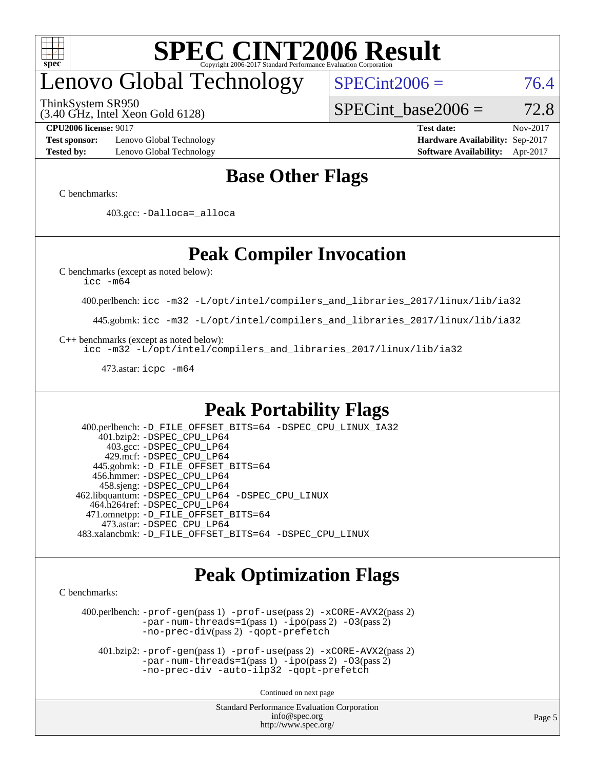

# enovo Global Technology

ThinkSystem SR950

(3.40 GHz, Intel Xeon Gold 6128)

 $SPECint2006 = 76.4$  $SPECint2006 = 76.4$ 

**[Test sponsor:](http://www.spec.org/auto/cpu2006/Docs/result-fields.html#Testsponsor)** Lenovo Global Technology **[Hardware Availability:](http://www.spec.org/auto/cpu2006/Docs/result-fields.html#HardwareAvailability)** Sep-2017 **[Tested by:](http://www.spec.org/auto/cpu2006/Docs/result-fields.html#Testedby)** Lenovo Global Technology **[Software Availability:](http://www.spec.org/auto/cpu2006/Docs/result-fields.html#SoftwareAvailability)** Apr-2017

**[CPU2006 license:](http://www.spec.org/auto/cpu2006/Docs/result-fields.html#CPU2006license)** 9017 **[Test date:](http://www.spec.org/auto/cpu2006/Docs/result-fields.html#Testdate)** Nov-2017

SPECint base2006 =  $72.8$ 

## **[Base Other Flags](http://www.spec.org/auto/cpu2006/Docs/result-fields.html#BaseOtherFlags)**

[C benchmarks](http://www.spec.org/auto/cpu2006/Docs/result-fields.html#Cbenchmarks):

403.gcc: [-Dalloca=\\_alloca](http://www.spec.org/cpu2006/results/res2017q4/cpu2006-20171211-51036.flags.html#b403.gcc_baseEXTRA_CFLAGS_Dalloca_be3056838c12de2578596ca5467af7f3)

## **[Peak Compiler Invocation](http://www.spec.org/auto/cpu2006/Docs/result-fields.html#PeakCompilerInvocation)**

[C benchmarks \(except as noted below\)](http://www.spec.org/auto/cpu2006/Docs/result-fields.html#Cbenchmarksexceptasnotedbelow):

[icc -m64](http://www.spec.org/cpu2006/results/res2017q4/cpu2006-20171211-51036.flags.html#user_CCpeak_intel_icc_64bit_bda6cc9af1fdbb0edc3795bac97ada53)

400.perlbench: [icc -m32 -L/opt/intel/compilers\\_and\\_libraries\\_2017/linux/lib/ia32](http://www.spec.org/cpu2006/results/res2017q4/cpu2006-20171211-51036.flags.html#user_peakCCLD400_perlbench_intel_icc_c29f3ff5a7ed067b11e4ec10a03f03ae)

445.gobmk: [icc -m32 -L/opt/intel/compilers\\_and\\_libraries\\_2017/linux/lib/ia32](http://www.spec.org/cpu2006/results/res2017q4/cpu2006-20171211-51036.flags.html#user_peakCCLD445_gobmk_intel_icc_c29f3ff5a7ed067b11e4ec10a03f03ae)

[C++ benchmarks \(except as noted below\):](http://www.spec.org/auto/cpu2006/Docs/result-fields.html#CXXbenchmarksexceptasnotedbelow)

[icc -m32 -L/opt/intel/compilers\\_and\\_libraries\\_2017/linux/lib/ia32](http://www.spec.org/cpu2006/results/res2017q4/cpu2006-20171211-51036.flags.html#user_CXXpeak_intel_icc_c29f3ff5a7ed067b11e4ec10a03f03ae)

473.astar: [icpc -m64](http://www.spec.org/cpu2006/results/res2017q4/cpu2006-20171211-51036.flags.html#user_peakCXXLD473_astar_intel_icpc_64bit_fc66a5337ce925472a5c54ad6a0de310)

## **[Peak Portability Flags](http://www.spec.org/auto/cpu2006/Docs/result-fields.html#PeakPortabilityFlags)**

 400.perlbench: [-D\\_FILE\\_OFFSET\\_BITS=64](http://www.spec.org/cpu2006/results/res2017q4/cpu2006-20171211-51036.flags.html#user_peakPORTABILITY400_perlbench_file_offset_bits_64_438cf9856305ebd76870a2c6dc2689ab) [-DSPEC\\_CPU\\_LINUX\\_IA32](http://www.spec.org/cpu2006/results/res2017q4/cpu2006-20171211-51036.flags.html#b400.perlbench_peakCPORTABILITY_DSPEC_CPU_LINUX_IA32) 401.bzip2: [-DSPEC\\_CPU\\_LP64](http://www.spec.org/cpu2006/results/res2017q4/cpu2006-20171211-51036.flags.html#suite_peakPORTABILITY401_bzip2_DSPEC_CPU_LP64) 403.gcc: [-DSPEC\\_CPU\\_LP64](http://www.spec.org/cpu2006/results/res2017q4/cpu2006-20171211-51036.flags.html#suite_peakPORTABILITY403_gcc_DSPEC_CPU_LP64) 429.mcf: [-DSPEC\\_CPU\\_LP64](http://www.spec.org/cpu2006/results/res2017q4/cpu2006-20171211-51036.flags.html#suite_peakPORTABILITY429_mcf_DSPEC_CPU_LP64) 445.gobmk: [-D\\_FILE\\_OFFSET\\_BITS=64](http://www.spec.org/cpu2006/results/res2017q4/cpu2006-20171211-51036.flags.html#user_peakPORTABILITY445_gobmk_file_offset_bits_64_438cf9856305ebd76870a2c6dc2689ab) 456.hmmer: [-DSPEC\\_CPU\\_LP64](http://www.spec.org/cpu2006/results/res2017q4/cpu2006-20171211-51036.flags.html#suite_peakPORTABILITY456_hmmer_DSPEC_CPU_LP64) 458.sjeng: [-DSPEC\\_CPU\\_LP64](http://www.spec.org/cpu2006/results/res2017q4/cpu2006-20171211-51036.flags.html#suite_peakPORTABILITY458_sjeng_DSPEC_CPU_LP64) 462.libquantum: [-DSPEC\\_CPU\\_LP64](http://www.spec.org/cpu2006/results/res2017q4/cpu2006-20171211-51036.flags.html#suite_peakPORTABILITY462_libquantum_DSPEC_CPU_LP64) [-DSPEC\\_CPU\\_LINUX](http://www.spec.org/cpu2006/results/res2017q4/cpu2006-20171211-51036.flags.html#b462.libquantum_peakCPORTABILITY_DSPEC_CPU_LINUX) 464.h264ref: [-DSPEC\\_CPU\\_LP64](http://www.spec.org/cpu2006/results/res2017q4/cpu2006-20171211-51036.flags.html#suite_peakPORTABILITY464_h264ref_DSPEC_CPU_LP64) 471.omnetpp: [-D\\_FILE\\_OFFSET\\_BITS=64](http://www.spec.org/cpu2006/results/res2017q4/cpu2006-20171211-51036.flags.html#user_peakPORTABILITY471_omnetpp_file_offset_bits_64_438cf9856305ebd76870a2c6dc2689ab) 473.astar: [-DSPEC\\_CPU\\_LP64](http://www.spec.org/cpu2006/results/res2017q4/cpu2006-20171211-51036.flags.html#suite_peakPORTABILITY473_astar_DSPEC_CPU_LP64) 483.xalancbmk: [-D\\_FILE\\_OFFSET\\_BITS=64](http://www.spec.org/cpu2006/results/res2017q4/cpu2006-20171211-51036.flags.html#user_peakPORTABILITY483_xalancbmk_file_offset_bits_64_438cf9856305ebd76870a2c6dc2689ab) [-DSPEC\\_CPU\\_LINUX](http://www.spec.org/cpu2006/results/res2017q4/cpu2006-20171211-51036.flags.html#b483.xalancbmk_peakCXXPORTABILITY_DSPEC_CPU_LINUX)

### **[Peak Optimization Flags](http://www.spec.org/auto/cpu2006/Docs/result-fields.html#PeakOptimizationFlags)**

[C benchmarks](http://www.spec.org/auto/cpu2006/Docs/result-fields.html#Cbenchmarks):

 400.perlbench: [-prof-gen](http://www.spec.org/cpu2006/results/res2017q4/cpu2006-20171211-51036.flags.html#user_peakPASS1_CFLAGSPASS1_LDCFLAGS400_perlbench_prof_gen_e43856698f6ca7b7e442dfd80e94a8fc)(pass 1) [-prof-use](http://www.spec.org/cpu2006/results/res2017q4/cpu2006-20171211-51036.flags.html#user_peakPASS2_CFLAGSPASS2_LDCFLAGS400_perlbench_prof_use_bccf7792157ff70d64e32fe3e1250b55)(pass 2) [-xCORE-AVX2](http://www.spec.org/cpu2006/results/res2017q4/cpu2006-20171211-51036.flags.html#user_peakPASS2_CFLAGSPASS2_LDCFLAGS400_perlbench_f-xCORE-AVX2)(pass 2) [-par-num-threads=1](http://www.spec.org/cpu2006/results/res2017q4/cpu2006-20171211-51036.flags.html#user_peakPASS1_CFLAGSPASS1_LDCFLAGS400_perlbench_par_num_threads_786a6ff141b4e9e90432e998842df6c2)(pass 1) [-ipo](http://www.spec.org/cpu2006/results/res2017q4/cpu2006-20171211-51036.flags.html#user_peakPASS2_CFLAGSPASS2_LDCFLAGS400_perlbench_f-ipo)(pass 2) [-O3](http://www.spec.org/cpu2006/results/res2017q4/cpu2006-20171211-51036.flags.html#user_peakPASS2_CFLAGSPASS2_LDCFLAGS400_perlbench_f-O3)(pass 2) [-no-prec-div](http://www.spec.org/cpu2006/results/res2017q4/cpu2006-20171211-51036.flags.html#user_peakPASS2_CFLAGSPASS2_LDCFLAGS400_perlbench_f-no-prec-div)(pass 2) [-qopt-prefetch](http://www.spec.org/cpu2006/results/res2017q4/cpu2006-20171211-51036.flags.html#user_peakCOPTIMIZE400_perlbench_f-qopt-prefetch)

 401.bzip2: [-prof-gen](http://www.spec.org/cpu2006/results/res2017q4/cpu2006-20171211-51036.flags.html#user_peakPASS1_CFLAGSPASS1_LDCFLAGS401_bzip2_prof_gen_e43856698f6ca7b7e442dfd80e94a8fc)(pass 1) [-prof-use](http://www.spec.org/cpu2006/results/res2017q4/cpu2006-20171211-51036.flags.html#user_peakPASS2_CFLAGSPASS2_LDCFLAGS401_bzip2_prof_use_bccf7792157ff70d64e32fe3e1250b55)(pass 2) [-xCORE-AVX2](http://www.spec.org/cpu2006/results/res2017q4/cpu2006-20171211-51036.flags.html#user_peakPASS2_CFLAGSPASS2_LDCFLAGS401_bzip2_f-xCORE-AVX2)(pass 2)  $-par-num-threads=1(pass 1) -ipo(pass 2) -O3(pass 2)$  $-par-num-threads=1(pass 1) -ipo(pass 2) -O3(pass 2)$  $-par-num-threads=1(pass 1) -ipo(pass 2) -O3(pass 2)$  $-par-num-threads=1(pass 1) -ipo(pass 2) -O3(pass 2)$  $-par-num-threads=1(pass 1) -ipo(pass 2) -O3(pass 2)$  $-par-num-threads=1(pass 1) -ipo(pass 2) -O3(pass 2)$ [-no-prec-div](http://www.spec.org/cpu2006/results/res2017q4/cpu2006-20171211-51036.flags.html#user_peakCOPTIMIZEPASS2_CFLAGSPASS2_LDCFLAGS401_bzip2_f-no-prec-div) [-auto-ilp32](http://www.spec.org/cpu2006/results/res2017q4/cpu2006-20171211-51036.flags.html#user_peakCOPTIMIZE401_bzip2_f-auto-ilp32) [-qopt-prefetch](http://www.spec.org/cpu2006/results/res2017q4/cpu2006-20171211-51036.flags.html#user_peakCOPTIMIZE401_bzip2_f-qopt-prefetch)

Continued on next page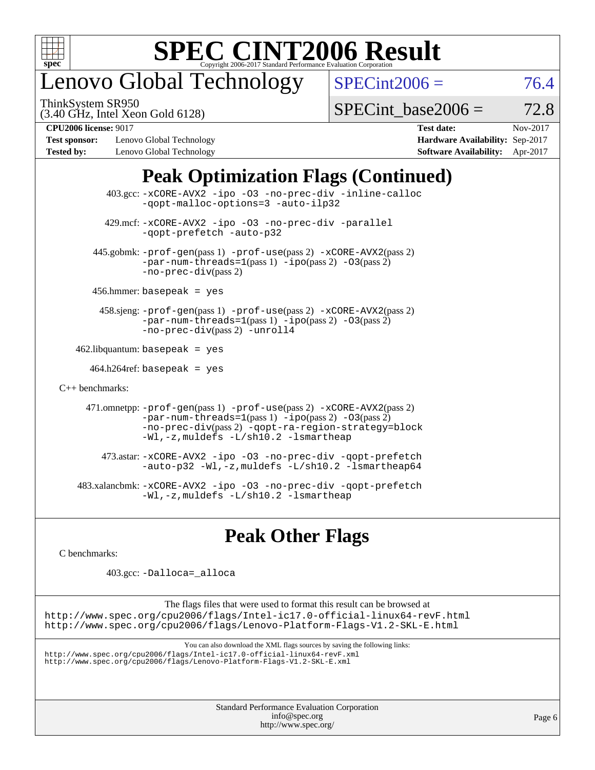

# enovo Global Technology

ThinkSystem SR950

 $SPECint2006 = 76.4$  $SPECint2006 = 76.4$ 

(3.40 GHz, Intel Xeon Gold 6128)

SPECint base2006 =  $72.8$ 

**[Test sponsor:](http://www.spec.org/auto/cpu2006/Docs/result-fields.html#Testsponsor)** Lenovo Global Technology **[Hardware Availability:](http://www.spec.org/auto/cpu2006/Docs/result-fields.html#HardwareAvailability)** Sep-2017 **[Tested by:](http://www.spec.org/auto/cpu2006/Docs/result-fields.html#Testedby)** Lenovo Global Technology **[Software Availability:](http://www.spec.org/auto/cpu2006/Docs/result-fields.html#SoftwareAvailability)** Apr-2017

**[CPU2006 license:](http://www.spec.org/auto/cpu2006/Docs/result-fields.html#CPU2006license)** 9017 **[Test date:](http://www.spec.org/auto/cpu2006/Docs/result-fields.html#Testdate)** Nov-2017

## **[Peak Optimization Flags \(Continued\)](http://www.spec.org/auto/cpu2006/Docs/result-fields.html#PeakOptimizationFlags)**

 403.gcc: [-xCORE-AVX2](http://www.spec.org/cpu2006/results/res2017q4/cpu2006-20171211-51036.flags.html#user_peakOPTIMIZE403_gcc_f-xCORE-AVX2) [-ipo](http://www.spec.org/cpu2006/results/res2017q4/cpu2006-20171211-51036.flags.html#user_peakOPTIMIZE403_gcc_f-ipo) [-O3](http://www.spec.org/cpu2006/results/res2017q4/cpu2006-20171211-51036.flags.html#user_peakOPTIMIZE403_gcc_f-O3) [-no-prec-div](http://www.spec.org/cpu2006/results/res2017q4/cpu2006-20171211-51036.flags.html#user_peakOPTIMIZE403_gcc_f-no-prec-div) [-inline-calloc](http://www.spec.org/cpu2006/results/res2017q4/cpu2006-20171211-51036.flags.html#user_peakCOPTIMIZE403_gcc_f-inline-calloc) [-qopt-malloc-options=3](http://www.spec.org/cpu2006/results/res2017q4/cpu2006-20171211-51036.flags.html#user_peakCOPTIMIZE403_gcc_f-qopt-malloc-options_0fcb435012e78f27d57f473818e45fe4) [-auto-ilp32](http://www.spec.org/cpu2006/results/res2017q4/cpu2006-20171211-51036.flags.html#user_peakCOPTIMIZE403_gcc_f-auto-ilp32) 429.mcf: [-xCORE-AVX2](http://www.spec.org/cpu2006/results/res2017q4/cpu2006-20171211-51036.flags.html#user_peakOPTIMIZE429_mcf_f-xCORE-AVX2) [-ipo](http://www.spec.org/cpu2006/results/res2017q4/cpu2006-20171211-51036.flags.html#user_peakOPTIMIZE429_mcf_f-ipo) [-O3](http://www.spec.org/cpu2006/results/res2017q4/cpu2006-20171211-51036.flags.html#user_peakOPTIMIZE429_mcf_f-O3) [-no-prec-div](http://www.spec.org/cpu2006/results/res2017q4/cpu2006-20171211-51036.flags.html#user_peakOPTIMIZE429_mcf_f-no-prec-div) [-parallel](http://www.spec.org/cpu2006/results/res2017q4/cpu2006-20171211-51036.flags.html#user_peakCOPTIMIZE429_mcf_f-parallel) [-qopt-prefetch](http://www.spec.org/cpu2006/results/res2017q4/cpu2006-20171211-51036.flags.html#user_peakCOPTIMIZE429_mcf_f-qopt-prefetch) [-auto-p32](http://www.spec.org/cpu2006/results/res2017q4/cpu2006-20171211-51036.flags.html#user_peakCOPTIMIZE429_mcf_f-auto-p32) 445.gobmk: [-prof-gen](http://www.spec.org/cpu2006/results/res2017q4/cpu2006-20171211-51036.flags.html#user_peakPASS1_CFLAGSPASS1_LDCFLAGS445_gobmk_prof_gen_e43856698f6ca7b7e442dfd80e94a8fc)(pass 1) [-prof-use](http://www.spec.org/cpu2006/results/res2017q4/cpu2006-20171211-51036.flags.html#user_peakPASS2_CFLAGSPASS2_LDCFLAGS445_gobmk_prof_use_bccf7792157ff70d64e32fe3e1250b55)(pass 2) [-xCORE-AVX2](http://www.spec.org/cpu2006/results/res2017q4/cpu2006-20171211-51036.flags.html#user_peakPASS2_CFLAGSPASS2_LDCFLAGS445_gobmk_f-xCORE-AVX2)(pass 2)  $-par-num-threads=1(pass 1) -ipo(pass 2) -O3(pass 2)$  $-par-num-threads=1(pass 1) -ipo(pass 2) -O3(pass 2)$  $-par-num-threads=1(pass 1) -ipo(pass 2) -O3(pass 2)$  $-par-num-threads=1(pass 1) -ipo(pass 2) -O3(pass 2)$  $-par-num-threads=1(pass 1) -ipo(pass 2) -O3(pass 2)$  $-par-num-threads=1(pass 1) -ipo(pass 2) -O3(pass 2)$ [-no-prec-div](http://www.spec.org/cpu2006/results/res2017q4/cpu2006-20171211-51036.flags.html#user_peakPASS2_CFLAGSPASS2_LDCFLAGS445_gobmk_f-no-prec-div)(pass 2) 456.hmmer: basepeak = yes 458.sjeng: [-prof-gen](http://www.spec.org/cpu2006/results/res2017q4/cpu2006-20171211-51036.flags.html#user_peakPASS1_CFLAGSPASS1_LDCFLAGS458_sjeng_prof_gen_e43856698f6ca7b7e442dfd80e94a8fc)(pass 1) [-prof-use](http://www.spec.org/cpu2006/results/res2017q4/cpu2006-20171211-51036.flags.html#user_peakPASS2_CFLAGSPASS2_LDCFLAGS458_sjeng_prof_use_bccf7792157ff70d64e32fe3e1250b55)(pass 2) [-xCORE-AVX2](http://www.spec.org/cpu2006/results/res2017q4/cpu2006-20171211-51036.flags.html#user_peakPASS2_CFLAGSPASS2_LDCFLAGS458_sjeng_f-xCORE-AVX2)(pass 2) [-par-num-threads=1](http://www.spec.org/cpu2006/results/res2017q4/cpu2006-20171211-51036.flags.html#user_peakPASS1_CFLAGSPASS1_LDCFLAGS458_sjeng_par_num_threads_786a6ff141b4e9e90432e998842df6c2)(pass 1) [-ipo](http://www.spec.org/cpu2006/results/res2017q4/cpu2006-20171211-51036.flags.html#user_peakPASS2_CFLAGSPASS2_LDCFLAGS458_sjeng_f-ipo)(pass 2) [-O3](http://www.spec.org/cpu2006/results/res2017q4/cpu2006-20171211-51036.flags.html#user_peakPASS2_CFLAGSPASS2_LDCFLAGS458_sjeng_f-O3)(pass 2) [-no-prec-div](http://www.spec.org/cpu2006/results/res2017q4/cpu2006-20171211-51036.flags.html#user_peakPASS2_CFLAGSPASS2_LDCFLAGS458_sjeng_f-no-prec-div)(pass 2) [-unroll4](http://www.spec.org/cpu2006/results/res2017q4/cpu2006-20171211-51036.flags.html#user_peakCOPTIMIZE458_sjeng_f-unroll_4e5e4ed65b7fd20bdcd365bec371b81f)  $462$ .libquantum: basepeak = yes  $464.h264$ ref: basepeak = yes [C++ benchmarks:](http://www.spec.org/auto/cpu2006/Docs/result-fields.html#CXXbenchmarks) 471.omnetpp: [-prof-gen](http://www.spec.org/cpu2006/results/res2017q4/cpu2006-20171211-51036.flags.html#user_peakPASS1_CXXFLAGSPASS1_LDCXXFLAGS471_omnetpp_prof_gen_e43856698f6ca7b7e442dfd80e94a8fc)(pass 1) [-prof-use](http://www.spec.org/cpu2006/results/res2017q4/cpu2006-20171211-51036.flags.html#user_peakPASS2_CXXFLAGSPASS2_LDCXXFLAGS471_omnetpp_prof_use_bccf7792157ff70d64e32fe3e1250b55)(pass 2) [-xCORE-AVX2](http://www.spec.org/cpu2006/results/res2017q4/cpu2006-20171211-51036.flags.html#user_peakPASS2_CXXFLAGSPASS2_LDCXXFLAGS471_omnetpp_f-xCORE-AVX2)(pass 2)  $-par-num-threads=1(pass 1) -ipo(pass 2) -O3(pass 2)$  $-par-num-threads=1(pass 1) -ipo(pass 2) -O3(pass 2)$  $-par-num-threads=1(pass 1) -ipo(pass 2) -O3(pass 2)$  $-par-num-threads=1(pass 1) -ipo(pass 2) -O3(pass 2)$  $-par-num-threads=1(pass 1) -ipo(pass 2) -O3(pass 2)$  $-par-num-threads=1(pass 1) -ipo(pass 2) -O3(pass 2)$ [-no-prec-div](http://www.spec.org/cpu2006/results/res2017q4/cpu2006-20171211-51036.flags.html#user_peakPASS2_CXXFLAGSPASS2_LDCXXFLAGS471_omnetpp_f-no-prec-div)(pass 2) [-qopt-ra-region-strategy=block](http://www.spec.org/cpu2006/results/res2017q4/cpu2006-20171211-51036.flags.html#user_peakCXXOPTIMIZE471_omnetpp_f-qopt-ra-region-strategy_0f7b543d62da454b380160c0e3b28f94) [-Wl,-z,muldefs](http://www.spec.org/cpu2006/results/res2017q4/cpu2006-20171211-51036.flags.html#user_peakEXTRA_LDFLAGS471_omnetpp_link_force_multiple1_74079c344b956b9658436fd1b6dd3a8a) [-L/sh10.2 -lsmartheap](http://www.spec.org/cpu2006/results/res2017q4/cpu2006-20171211-51036.flags.html#user_peakEXTRA_LIBS471_omnetpp_SmartHeap_b831f2d313e2fffa6dfe3f00ffc1f1c0) 473.astar: [-xCORE-AVX2](http://www.spec.org/cpu2006/results/res2017q4/cpu2006-20171211-51036.flags.html#user_peakOPTIMIZE473_astar_f-xCORE-AVX2) [-ipo](http://www.spec.org/cpu2006/results/res2017q4/cpu2006-20171211-51036.flags.html#user_peakOPTIMIZE473_astar_f-ipo) [-O3](http://www.spec.org/cpu2006/results/res2017q4/cpu2006-20171211-51036.flags.html#user_peakOPTIMIZE473_astar_f-O3) [-no-prec-div](http://www.spec.org/cpu2006/results/res2017q4/cpu2006-20171211-51036.flags.html#user_peakOPTIMIZE473_astar_f-no-prec-div) [-qopt-prefetch](http://www.spec.org/cpu2006/results/res2017q4/cpu2006-20171211-51036.flags.html#user_peakCXXOPTIMIZE473_astar_f-qopt-prefetch) [-auto-p32](http://www.spec.org/cpu2006/results/res2017q4/cpu2006-20171211-51036.flags.html#user_peakCXXOPTIMIZE473_astar_f-auto-p32) [-Wl,-z,muldefs](http://www.spec.org/cpu2006/results/res2017q4/cpu2006-20171211-51036.flags.html#user_peakEXTRA_LDFLAGS473_astar_link_force_multiple1_74079c344b956b9658436fd1b6dd3a8a) [-L/sh10.2 -lsmartheap64](http://www.spec.org/cpu2006/results/res2017q4/cpu2006-20171211-51036.flags.html#user_peakEXTRA_LIBS473_astar_SmartHeap64_63911d860fc08c15fa1d5bf319b9d8d5) 483.xalancbmk: [-xCORE-AVX2](http://www.spec.org/cpu2006/results/res2017q4/cpu2006-20171211-51036.flags.html#user_peakOPTIMIZE483_xalancbmk_f-xCORE-AVX2) [-ipo](http://www.spec.org/cpu2006/results/res2017q4/cpu2006-20171211-51036.flags.html#user_peakOPTIMIZE483_xalancbmk_f-ipo) [-O3](http://www.spec.org/cpu2006/results/res2017q4/cpu2006-20171211-51036.flags.html#user_peakOPTIMIZE483_xalancbmk_f-O3) [-no-prec-div](http://www.spec.org/cpu2006/results/res2017q4/cpu2006-20171211-51036.flags.html#user_peakOPTIMIZE483_xalancbmk_f-no-prec-div) [-qopt-prefetch](http://www.spec.org/cpu2006/results/res2017q4/cpu2006-20171211-51036.flags.html#user_peakCXXOPTIMIZE483_xalancbmk_f-qopt-prefetch) [-Wl,-z,muldefs](http://www.spec.org/cpu2006/results/res2017q4/cpu2006-20171211-51036.flags.html#user_peakEXTRA_LDFLAGS483_xalancbmk_link_force_multiple1_74079c344b956b9658436fd1b6dd3a8a) [-L/sh10.2 -lsmartheap](http://www.spec.org/cpu2006/results/res2017q4/cpu2006-20171211-51036.flags.html#user_peakEXTRA_LIBS483_xalancbmk_SmartHeap_b831f2d313e2fffa6dfe3f00ffc1f1c0)

## **[Peak Other Flags](http://www.spec.org/auto/cpu2006/Docs/result-fields.html#PeakOtherFlags)**

[C benchmarks](http://www.spec.org/auto/cpu2006/Docs/result-fields.html#Cbenchmarks):

403.gcc: [-Dalloca=\\_alloca](http://www.spec.org/cpu2006/results/res2017q4/cpu2006-20171211-51036.flags.html#b403.gcc_peakEXTRA_CFLAGS_Dalloca_be3056838c12de2578596ca5467af7f3)

The flags files that were used to format this result can be browsed at <http://www.spec.org/cpu2006/flags/Intel-ic17.0-official-linux64-revF.html> <http://www.spec.org/cpu2006/flags/Lenovo-Platform-Flags-V1.2-SKL-E.html>

You can also download the XML flags sources by saving the following links:

<http://www.spec.org/cpu2006/flags/Intel-ic17.0-official-linux64-revF.xml> <http://www.spec.org/cpu2006/flags/Lenovo-Platform-Flags-V1.2-SKL-E.xml>